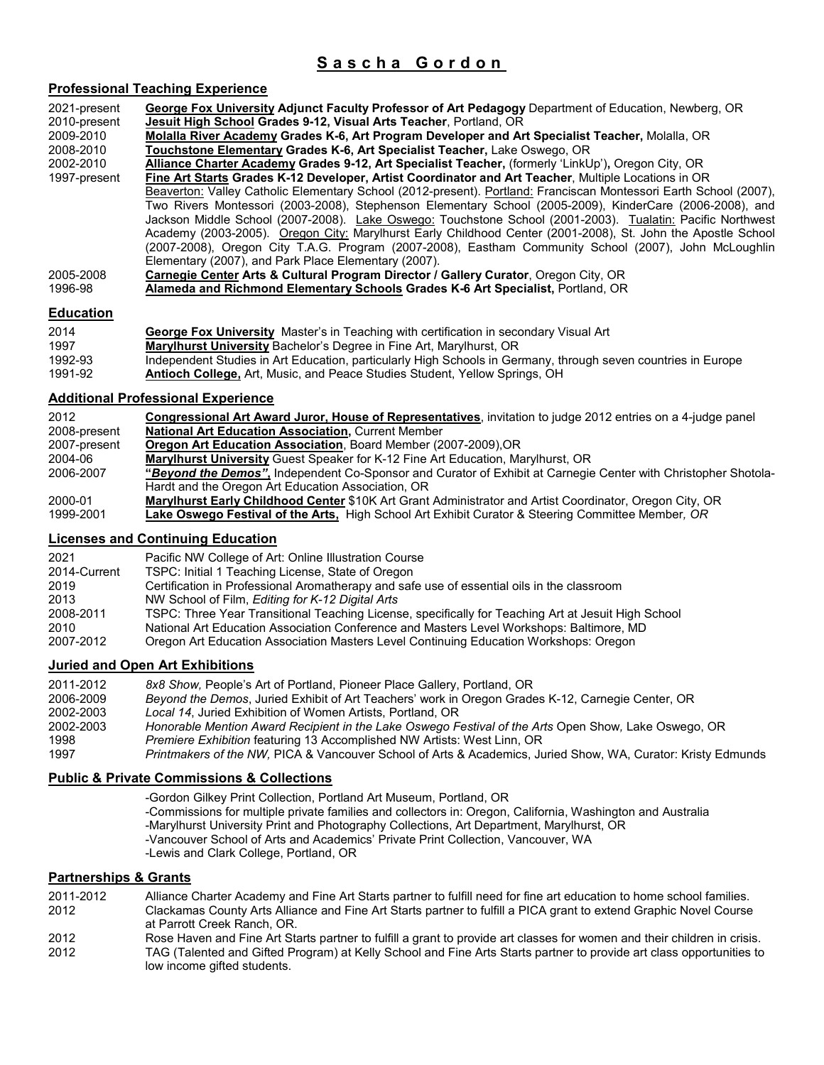## **Sas cha Gordon**

| <b>Professional Teaching Experience</b>                   |                                                                                                                                                                                                                                                                                                                                                                                                                                                                                                                                                                                                                                                                                                                                     |
|-----------------------------------------------------------|-------------------------------------------------------------------------------------------------------------------------------------------------------------------------------------------------------------------------------------------------------------------------------------------------------------------------------------------------------------------------------------------------------------------------------------------------------------------------------------------------------------------------------------------------------------------------------------------------------------------------------------------------------------------------------------------------------------------------------------|
| 2021-present<br>2010-present<br>2009-2010                 | George Fox University Adjunct Faculty Professor of Art Pedagogy Department of Education, Newberg, OR<br>Jesuit High School Grades 9-12, Visual Arts Teacher, Portland, OR<br>Molalla River Academy Grades K-6, Art Program Developer and Art Specialist Teacher, Molalla, OR                                                                                                                                                                                                                                                                                                                                                                                                                                                        |
| 2008-2010                                                 | Touchstone Elementary Grades K-6, Art Specialist Teacher, Lake Oswego, OR                                                                                                                                                                                                                                                                                                                                                                                                                                                                                                                                                                                                                                                           |
| 2002-2010                                                 | Alliance Charter Academy Grades 9-12, Art Specialist Teacher, (formerly 'LinkUp'), Oregon City, OR                                                                                                                                                                                                                                                                                                                                                                                                                                                                                                                                                                                                                                  |
| 1997-present                                              | Fine Art Starts Grades K-12 Developer, Artist Coordinator and Art Teacher, Multiple Locations in OR<br>Beaverton: Valley Catholic Elementary School (2012-present). Portland: Franciscan Montessori Earth School (2007),<br>Two Rivers Montessori (2003-2008), Stephenson Elementary School (2005-2009), KinderCare (2006-2008), and<br>Jackson Middle School (2007-2008). Lake Oswego: Touchstone School (2001-2003). Tualatin: Pacific Northwest<br>Academy (2003-2005). Oregon City: Marylhurst Early Childhood Center (2001-2008), St. John the Apostle School<br>(2007-2008), Oregon City T.A.G. Program (2007-2008), Eastham Community School (2007), John McLoughlin<br>Elementary (2007), and Park Place Elementary (2007). |
| 2005-2008<br>1996-98                                      | Carnegie Center Arts & Cultural Program Director / Gallery Curator, Oregon City, OR<br>Alameda and Richmond Elementary Schools Grades K-6 Art Specialist, Portland, OR                                                                                                                                                                                                                                                                                                                                                                                                                                                                                                                                                              |
| <b>Education</b>                                          |                                                                                                                                                                                                                                                                                                                                                                                                                                                                                                                                                                                                                                                                                                                                     |
| 2014<br>1997                                              | George Fox University Master's in Teaching with certification in secondary Visual Art<br>Marylhurst University Bachelor's Degree in Fine Art, Marylhurst, OR                                                                                                                                                                                                                                                                                                                                                                                                                                                                                                                                                                        |
| 1992-93<br>1991-92                                        | Independent Studies in Art Education, particularly High Schools in Germany, through seven countries in Europe<br>Antioch College, Art, Music, and Peace Studies Student, Yellow Springs, OH                                                                                                                                                                                                                                                                                                                                                                                                                                                                                                                                         |
| <b>Additional Professional Experience</b>                 |                                                                                                                                                                                                                                                                                                                                                                                                                                                                                                                                                                                                                                                                                                                                     |
| 2012                                                      | Congressional Art Award Juror, House of Representatives, invitation to judge 2012 entries on a 4-judge panel                                                                                                                                                                                                                                                                                                                                                                                                                                                                                                                                                                                                                        |
| 2008-present                                              | <b>National Art Education Association, Current Member</b>                                                                                                                                                                                                                                                                                                                                                                                                                                                                                                                                                                                                                                                                           |
| 2007-present<br>2004-06                                   | Oregon Art Education Association, Board Member (2007-2009), OR<br>Marylhurst University Guest Speaker for K-12 Fine Art Education, Marylhurst, OR                                                                                                                                                                                                                                                                                                                                                                                                                                                                                                                                                                                   |
| 2006-2007                                                 | "Beyond the Demos", Independent Co-Sponsor and Curator of Exhibit at Carnegie Center with Christopher Shotola-                                                                                                                                                                                                                                                                                                                                                                                                                                                                                                                                                                                                                      |
|                                                           | Hardt and the Oregon Art Education Association, OR                                                                                                                                                                                                                                                                                                                                                                                                                                                                                                                                                                                                                                                                                  |
| 2000-01<br>1999-2001                                      | Marylhurst Early Childhood Center \$10K Art Grant Administrator and Artist Coordinator, Oregon City, OR<br>Lake Oswego Festival of the Arts. High School Art Exhibit Curator & Steering Committee Member, OR                                                                                                                                                                                                                                                                                                                                                                                                                                                                                                                        |
| <b>Licenses and Continuing Education</b>                  |                                                                                                                                                                                                                                                                                                                                                                                                                                                                                                                                                                                                                                                                                                                                     |
| 2021                                                      | Pacific NW College of Art: Online Illustration Course                                                                                                                                                                                                                                                                                                                                                                                                                                                                                                                                                                                                                                                                               |
| 2014-Current                                              | TSPC: Initial 1 Teaching License, State of Oregon                                                                                                                                                                                                                                                                                                                                                                                                                                                                                                                                                                                                                                                                                   |
| 2019                                                      | Certification in Professional Aromatherapy and safe use of essential oils in the classroom                                                                                                                                                                                                                                                                                                                                                                                                                                                                                                                                                                                                                                          |
| 2013                                                      | NW School of Film, Editing for K-12 Digital Arts                                                                                                                                                                                                                                                                                                                                                                                                                                                                                                                                                                                                                                                                                    |
| 2008-2011<br>2010                                         | TSPC: Three Year Transitional Teaching License, specifically for Teaching Art at Jesuit High School<br>National Art Education Association Conference and Masters Level Workshops: Baltimore, MD                                                                                                                                                                                                                                                                                                                                                                                                                                                                                                                                     |
| 2007-2012                                                 | Oregon Art Education Association Masters Level Continuing Education Workshops: Oregon                                                                                                                                                                                                                                                                                                                                                                                                                                                                                                                                                                                                                                               |
| <b>Juried and Open Art Exhibitions</b>                    |                                                                                                                                                                                                                                                                                                                                                                                                                                                                                                                                                                                                                                                                                                                                     |
| 2011-2012                                                 | 8x8 Show, People's Art of Portland, Pioneer Place Gallery, Portland, OR                                                                                                                                                                                                                                                                                                                                                                                                                                                                                                                                                                                                                                                             |
| 2006-2009                                                 | Beyond the Demos, Juried Exhibit of Art Teachers' work in Oregon Grades K-12, Carnegie Center, OR                                                                                                                                                                                                                                                                                                                                                                                                                                                                                                                                                                                                                                   |
| 2002-2003                                                 | Local 14, Juried Exhibition of Women Artists, Portland, OR<br>Honorable Mention Award Recipient in the Lake Oswego Festival of the Arts Open Show, Lake Oswego, OR                                                                                                                                                                                                                                                                                                                                                                                                                                                                                                                                                                  |
| 2002-2003<br>1998                                         | <i>Premiere Exhibition</i> featuring 13 Accomplished NW Artists: West Linn, OR                                                                                                                                                                                                                                                                                                                                                                                                                                                                                                                                                                                                                                                      |
| 1997                                                      | Printmakers of the NW, PICA & Vancouver School of Arts & Academics, Juried Show, WA, Curator: Kristy Edmunds                                                                                                                                                                                                                                                                                                                                                                                                                                                                                                                                                                                                                        |
| <b>Public &amp; Private Commissions &amp; Collections</b> |                                                                                                                                                                                                                                                                                                                                                                                                                                                                                                                                                                                                                                                                                                                                     |
|                                                           | -Gordon Gilkey Print Collection, Portland Art Museum, Portland, OR                                                                                                                                                                                                                                                                                                                                                                                                                                                                                                                                                                                                                                                                  |
|                                                           | -Commissions for multiple private families and collectors in: Oregon, California, Washington and Australia<br>-Marylhurst University Print and Photography Collections, Art Department, Marylhurst, OR<br>-Vancouver School of Arts and Academics' Private Print Collection, Vancouver, WA<br>-Lewis and Clark College, Portland, OR                                                                                                                                                                                                                                                                                                                                                                                                |
| <b>Partnerships &amp; Grants</b>                          |                                                                                                                                                                                                                                                                                                                                                                                                                                                                                                                                                                                                                                                                                                                                     |
| 2011-2012                                                 | Alliance Charter Academy and Fine Art Starts partner to fulfill need for fine art education to home school families.                                                                                                                                                                                                                                                                                                                                                                                                                                                                                                                                                                                                                |

2012 Clackamas County Arts Alliance and Fine Art Starts partner to fulfill a PICA grant to extend Graphic Novel Course at Parrott Creek Ranch, OR.

2012 Rose Haven and Fine Art Starts partner to fulfill a grant to provide art classes for women and their children in crisis. 2012 TAG (Talented and Gifted Program) at Kelly School and Fine Arts Starts partner to provide art class opportunities to low income gifted students.